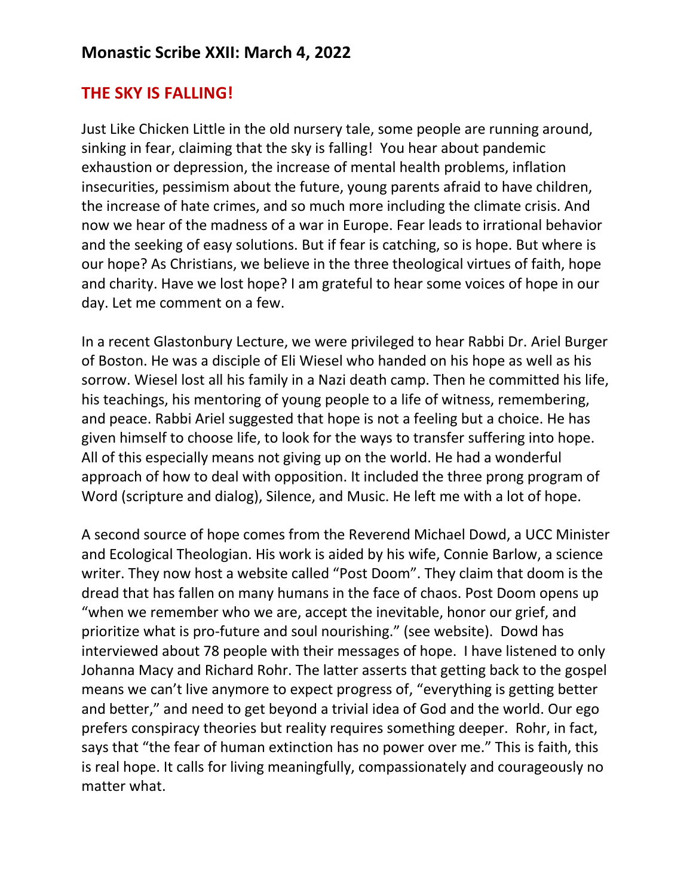## **THE SKY IS FALLING!**

Just Like Chicken Little in the old nursery tale, some people are running around, sinking in fear, claiming that the sky is falling! You hear about pandemic exhaustion or depression, the increase of mental health problems, inflation insecurities, pessimism about the future, young parents afraid to have children, the increase of hate crimes, and so much more including the climate crisis. And now we hear of the madness of a war in Europe. Fear leads to irrational behavior and the seeking of easy solutions. But if fear is catching, so is hope. But where is our hope? As Christians, we believe in the three theological virtues of faith, hope and charity. Have we lost hope? I am grateful to hear some voices of hope in our day. Let me comment on a few.

In a recent Glastonbury Lecture, we were privileged to hear Rabbi Dr. Ariel Burger of Boston. He was a disciple of Eli Wiesel who handed on his hope as well as his sorrow. Wiesel lost all his family in a Nazi death camp. Then he committed his life, his teachings, his mentoring of young people to a life of witness, remembering, and peace. Rabbi Ariel suggested that hope is not a feeling but a choice. He has given himself to choose life, to look for the ways to transfer suffering into hope. All of this especially means not giving up on the world. He had a wonderful approach of how to deal with opposition. It included the three prong program of Word (scripture and dialog), Silence, and Music. He left me with a lot of hope.

A second source of hope comes from the Reverend Michael Dowd, a UCC Minister and Ecological Theologian. His work is aided by his wife, Connie Barlow, a science writer. They now host a website called "Post Doom". They claim that doom is the dread that has fallen on many humans in the face of chaos. Post Doom opens up "when we remember who we are, accept the inevitable, honor our grief, and prioritize what is pro-future and soul nourishing." (see website). Dowd has interviewed about 78 people with their messages of hope. I have listened to only Johanna Macy and Richard Rohr. The latter asserts that getting back to the gospel means we can't live anymore to expect progress of, "everything is getting better and better," and need to get beyond a trivial idea of God and the world. Our ego prefers conspiracy theories but reality requires something deeper. Rohr, in fact, says that "the fear of human extinction has no power over me." This is faith, this is real hope. It calls for living meaningfully, compassionately and courageously no matter what.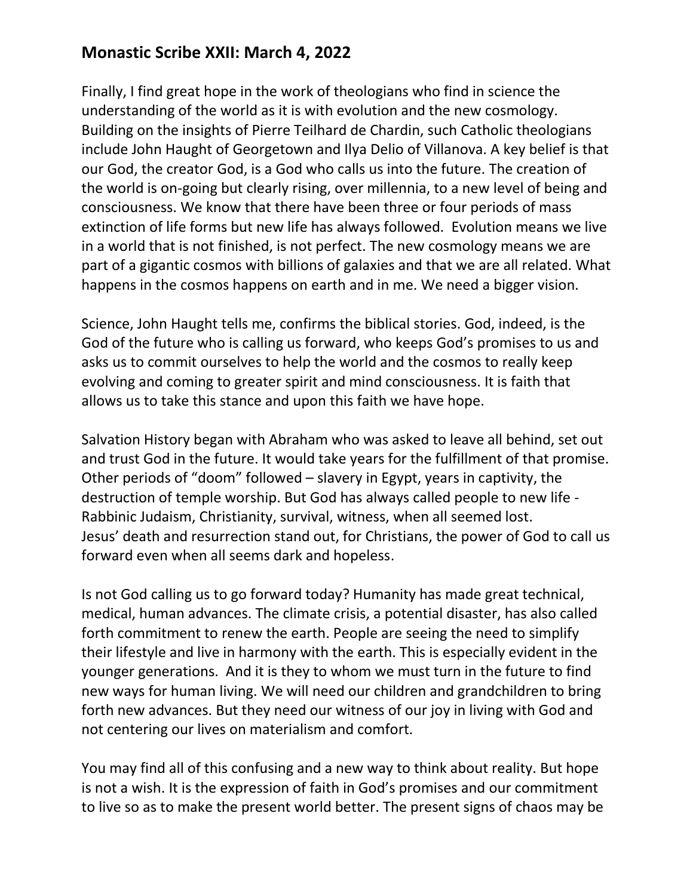## **Monastic Scribe XXII: March 4, 2022**

Finally, I find great hope in the work of theologians who find in science the understanding of the world as it is with evolution and the new cosmology. Building on the insights of Pierre Teilhard de Chardin, such Catholic theologians include John Haught of Georgetown and Ilya Delio of Villanova. A key belief is that our God, the creator God, is a God who calls us into the future. The creation of the world is on-going but clearly rising, over millennia, to a new level of being and consciousness. We know that there have been three or four periods of mass extinction of life forms but new life has always followed. Evolution means we live in a world that is not finished, is not perfect. The new cosmology means we are part of a gigantic cosmos with billions of galaxies and that we are all related. What happens in the cosmos happens on earth and in me. We need a bigger vision.

Science, John Haught tells me, confirms the biblical stories. God, indeed, is the God of the future who is calling us forward, who keeps God's promises to us and asks us to commit ourselves to help the world and the cosmos to really keep evolving and coming to greater spirit and mind consciousness. It is faith that allows us to take this stance and upon this faith we have hope.

Salvation History began with Abraham who was asked to leave all behind, set out and trust God in the future. It would take years for the fulfillment of that promise. Other periods of "doom" followed – slavery in Egypt, years in captivity, the destruction of temple worship. But God has always called people to new life - Rabbinic Judaism, Christianity, survival, witness, when all seemed lost. Jesus' death and resurrection stand out, for Christians, the power of God to call us forward even when all seems dark and hopeless.

Is not God calling us to go forward today? Humanity has made great technical, medical, human advances. The climate crisis, a potential disaster, has also called forth commitment to renew the earth. People are seeing the need to simplify their lifestyle and live in harmony with the earth. This is especially evident in the younger generations. And it is they to whom we must turn in the future to find new ways for human living. We will need our children and grandchildren to bring forth new advances. But they need our witness of our joy in living with God and not centering our lives on materialism and comfort.

You may find all of this confusing and a new way to think about reality. But hope is not a wish. It is the expression of faith in God's promises and our commitment to live so as to make the present world better. The present signs of chaos may be